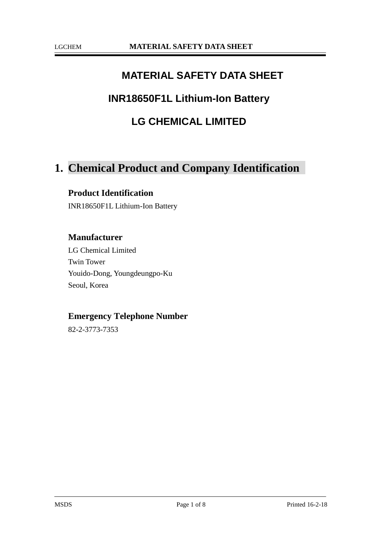### **MATERIAL SAFETY DATA SHEET**

### **INR18650F1L Lithium-Ion Battery**

### **LG CHEMICAL LIMITED**

# **1. Chemical Product and Company Identification**

#### **Product Identification**

INR18650F1L Lithium-Ion Battery

#### **Manufacturer**

LG Chemical Limited Twin Tower Youido-Dong, Youngdeungpo-Ku Seoul, Korea

#### **Emergency Telephone Number**

82-2-3773-7353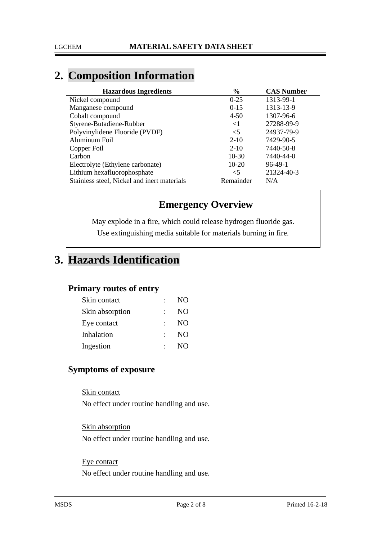# **2. Composition Information**

| <b>Hazardous Ingredients</b>                | $\%$      | <b>CAS Number</b> |
|---------------------------------------------|-----------|-------------------|
| Nickel compound                             | $0 - 25$  | 1313-99-1         |
| Manganese compound                          | $0-15$    | 1313-13-9         |
| Cobalt compound                             | $4 - 50$  | 1307-96-6         |
| Styrene-Butadiene-Rubber                    | $<$ 1     | 27288-99-9        |
| Polyvinylidene Fluoride (PVDF)              | $\leq$ 5  | 24937-79-9        |
| Aluminum Foil                               | $2 - 10$  | 7429-90-5         |
| Copper Foil                                 | $2 - 10$  | 7440-50-8         |
| Carbon                                      | $10-30$   | 7440-44-0         |
| Electrolyte (Ethylene carbonate)            | $10-20$   | $96-49-1$         |
| Lithium hexafluorophosphate                 | $<$ 5     | 21324-40-3        |
| Stainless steel, Nickel and inert materials | Remainder | N/A               |

### **Emergency Overview**

May explode in a fire, which could release hydrogen fluoride gas. Use extinguishing media suitable for materials burning in fire.

# **3. Hazards Identification**

#### **Primary routes of entry**

| Skin contact    |     | NO <sub>1</sub> |
|-----------------|-----|-----------------|
| Skin absorption |     | N <sub>O</sub>  |
| Eye contact     |     | NO              |
| Inhalation      | ÷., | NO              |
| Ingestion       |     | NO <sub>1</sub> |

### **Symptoms of exposure**

Skin contact No effect under routine handling and use.

Skin absorption No effect under routine handling and use.

#### Eye contact

No effect under routine handling and use.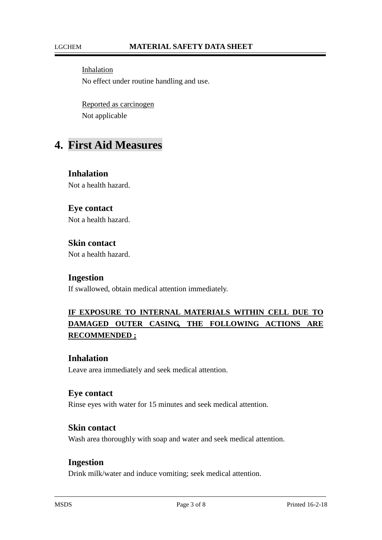Inhalation No effect under routine handling and use.

Reported as carcinogen Not applicable

# **4. First Aid Measures**

**Inhalation** Not a health hazard.

#### **Eye contact**

Not a health hazard.

### **Skin contact**

Not a health hazard.

#### **Ingestion**

If swallowed, obtain medical attention immediately.

### **IF EXPOSURE TO INTERNAL MATERIALS WITHIN CELL DUE TO DAMAGED OUTER CASING, THE FOLLOWING ACTIONS ARE RECOMMENDED ;**

#### **Inhalation**

Leave area immediately and seek medical attention.

#### **Eye contact**

Rinse eyes with water for 15 minutes and seek medical attention.

#### **Skin contact**

Wash area thoroughly with soap and water and seek medical attention.

#### **Ingestion**

Drink milk/water and induce vomiting; seek medical attention.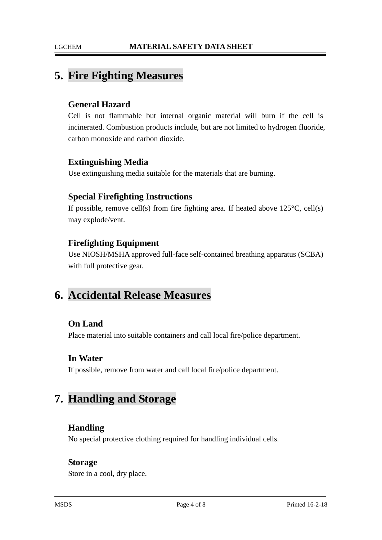### **5. Fire Fighting Measures**

#### **General Hazard**

Cell is not flammable but internal organic material will burn if the cell is incinerated. Combustion products include, but are not limited to hydrogen fluoride, carbon monoxide and carbon dioxide.

#### **Extinguishing Media**

Use extinguishing media suitable for the materials that are burning.

#### **Special Firefighting Instructions**

If possible, remove cell(s) from fire fighting area. If heated above  $125^{\circ}C$ , cell(s) may explode/vent.

#### **Firefighting Equipment**

Use NIOSH/MSHA approved full-face self-contained breathing apparatus (SCBA) with full protective gear.

## **6. Accidental Release Measures**

#### **On Land**

Place material into suitable containers and call local fire/police department.

#### **In Water**

If possible, remove from water and call local fire/police department.

## **7. Handling and Storage**

#### **Handling**

No special protective clothing required for handling individual cells.

#### **Storage**

Store in a cool, dry place.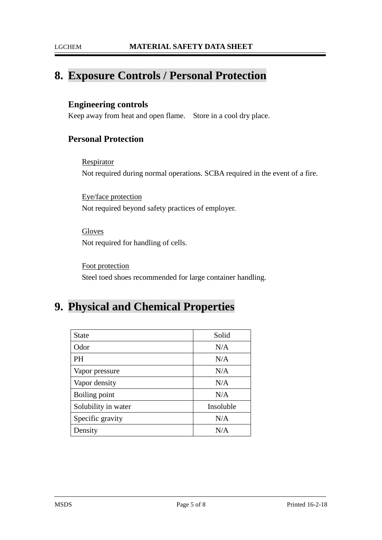### **8. Exposure Controls / Personal Protection**

#### **Engineering controls**

Keep away from heat and open flame. Store in a cool dry place.

### **Personal Protection**

**Respirator** Not required during normal operations. SCBA required in the event of a fire.

Eye/face protection Not required beyond safety practices of employer.

Gloves Not required for handling of cells.

Foot protection Steel toed shoes recommended for large container handling.

## **9. Physical and Chemical Properties**

| <b>State</b>        | Solid     |
|---------------------|-----------|
| Odor                | N/A       |
| PH                  | N/A       |
| Vapor pressure      | N/A       |
| Vapor density       | N/A       |
| Boiling point       | N/A       |
| Solubility in water | Insoluble |
| Specific gravity    | N/A       |
| Density             | N/A       |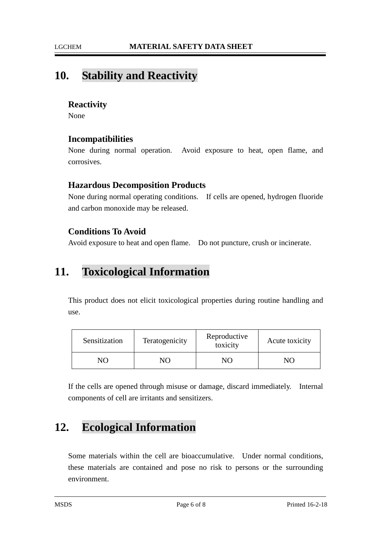### **10. Stability and Reactivity**

#### **Reactivity**

None

#### **Incompatibilities**

None during normal operation. Avoid exposure to heat, open flame, and corrosives.

#### **Hazardous Decomposition Products**

None during normal operating conditions. If cells are opened, hydrogen fluoride and carbon monoxide may be released.

#### **Conditions To Avoid**

Avoid exposure to heat and open flame. Do not puncture, crush or incinerate.

## **11. Toxicological Information**

This product does not elicit toxicological properties during routine handling and use.

| Sensitization  | Teratogenicity | Reproductive<br>toxicity | Acute toxicity |
|----------------|----------------|--------------------------|----------------|
| N <sub>0</sub> | NО             |                          |                |

If the cells are opened through misuse or damage, discard immediately. Internal components of cell are irritants and sensitizers.

# **12. Ecological Information**

Some materials within the cell are bioaccumulative. Under normal conditions, these materials are contained and pose no risk to persons or the surrounding environment.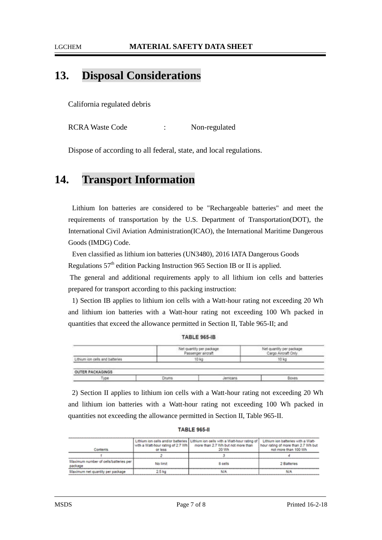#### LGCHEM **MATERIAL SAFETY DATA SHEET**

## **13. Disposal Considerations**

California regulated debris

RCRA Waste Code : Non-regulated

Dispose of according to all federal, state, and local regulations.

### **14. Transport Information**

Lithium Ion batteries are considered to be "Rechargeable batteries" and meet the requirements of transportation by the U.S. Department of Transportation(DOT), the International Civil Aviation Administration(ICAO), the International Maritime Dangerous Goods (IMDG) Code.

Even classified as lithium ion batteries (UN3480), 2016 IATA Dangerous Goods

Regulations  $57<sup>th</sup>$  edition Packing Instruction 965 Section IB or II is applied.

The general and additional requirements apply to all lithium ion cells and batteries prepared for transport according to this packing instruction:

1) Section IB applies to lithium ion cells with a Watt-hour rating not exceeding 20 Wh and lithium ion batteries with a Watt-hour rating not exceeding 100 Wh packed in quantities that exceed the allowance permitted in Section II, Table 965-II; and

**TABLE 965-IB** 

|                                                                                                                                                        | Net quantity per package<br>Passenger aircraft |          | Net quantity per package<br>Cargo Aircraft Only |
|--------------------------------------------------------------------------------------------------------------------------------------------------------|------------------------------------------------|----------|-------------------------------------------------|
| Lithium ion cells and batteries                                                                                                                        | 10 kg                                          |          | 10 kg                                           |
| the product of the first party of the first party and the first party of the first party of<br>The control of the second control of the control of the |                                                |          |                                                 |
| OUTER PACKAGINGS                                                                                                                                       |                                                |          |                                                 |
| Type                                                                                                                                                   | Drums                                          | lermcans | Boxes                                           |
|                                                                                                                                                        |                                                |          |                                                 |

2) Section II applies to lithium ion cells with a Watt-hour rating not exceeding 20 Wh and lithium ion batteries with a Watt-hour rating not exceeding 100 Wh packed in quantities not exceeding the allowance permitted in Section II, Table 965-II.

| <b>TABLE 965-II</b> |  |
|---------------------|--|
|---------------------|--|

|                                                  |                                    | Lithium ion cells and/or batteries   Lithium ion cells with a Watt-hour rating of | Lithium ion batteries with a Watt-  |
|--------------------------------------------------|------------------------------------|-----------------------------------------------------------------------------------|-------------------------------------|
|                                                  | with a Watt-hour rating of 2.7 Wh. | more than 2.7 Wh but not more than                                                | hour rating of more than 2.7 Wh but |
| contents                                         | or less                            | 20 Wh                                                                             | not more than 100 Wh                |
|                                                  |                                    |                                                                                   |                                     |
| Maximum number of cells/batteries per<br>package | No limit                           | 8 cells                                                                           | 2 Batteries                         |
| Maximum net quantity per package                 | 2.5 kg                             | NA                                                                                |                                     |